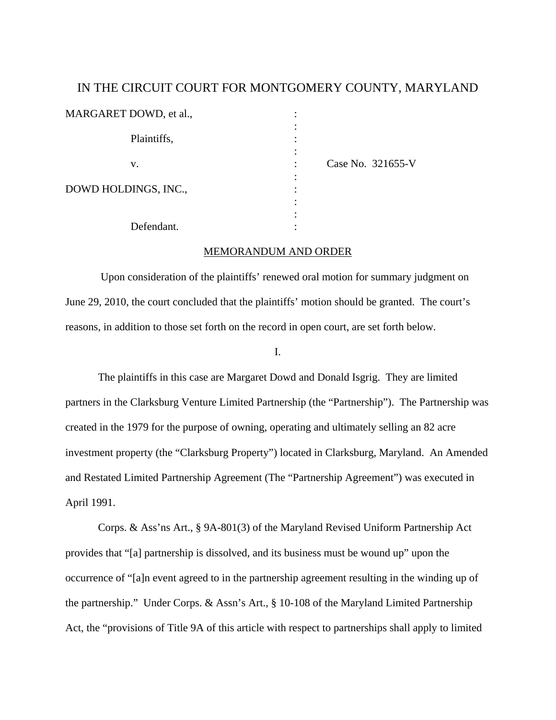## IN THE CIRCUIT COURT FOR MONTGOMERY COUNTY, MARYLAND

| MARGARET DOWD, et al., |                   |
|------------------------|-------------------|
| Plaintiffs,            |                   |
| V.                     | Case No. 321655-V |
| DOWD HOLDINGS, INC.,   |                   |
|                        |                   |
| Defendant.             |                   |

## MEMORANDUM AND ORDER

 Upon consideration of the plaintiffs' renewed oral motion for summary judgment on June 29, 2010, the court concluded that the plaintiffs' motion should be granted. The court's reasons, in addition to those set forth on the record in open court, are set forth below.

I.

 The plaintiffs in this case are Margaret Dowd and Donald Isgrig. They are limited partners in the Clarksburg Venture Limited Partnership (the "Partnership"). The Partnership was created in the 1979 for the purpose of owning, operating and ultimately selling an 82 acre investment property (the "Clarksburg Property") located in Clarksburg, Maryland. An Amended and Restated Limited Partnership Agreement (The "Partnership Agreement") was executed in April 1991.

Corps. & Ass'ns Art., § 9A-801(3) of the Maryland Revised Uniform Partnership Act provides that "[a] partnership is dissolved, and its business must be wound up" upon the occurrence of "[a]n event agreed to in the partnership agreement resulting in the winding up of the partnership." Under Corps. & Assn's Art., § 10-108 of the Maryland Limited Partnership Act, the "provisions of Title 9A of this article with respect to partnerships shall apply to limited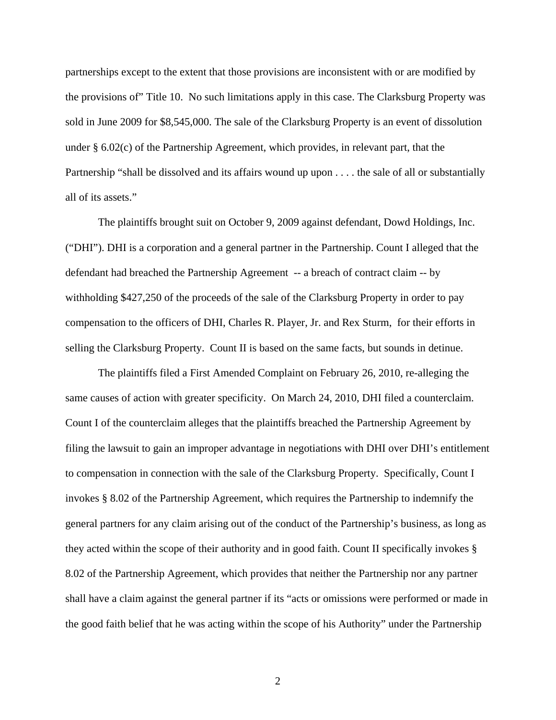partnerships except to the extent that those provisions are inconsistent with or are modified by the provisions of" Title 10. No such limitations apply in this case. The Clarksburg Property was sold in June 2009 for \$8,545,000. The sale of the Clarksburg Property is an event of dissolution under § 6.02(c) of the Partnership Agreement, which provides, in relevant part, that the Partnership "shall be dissolved and its affairs wound up upon . . . . the sale of all or substantially all of its assets."

The plaintiffs brought suit on October 9, 2009 against defendant, Dowd Holdings, Inc. ("DHI"). DHI is a corporation and a general partner in the Partnership. Count I alleged that the defendant had breached the Partnership Agreement -- a breach of contract claim -- by withholding \$427,250 of the proceeds of the sale of the Clarksburg Property in order to pay compensation to the officers of DHI, Charles R. Player, Jr. and Rex Sturm, for their efforts in selling the Clarksburg Property. Count II is based on the same facts, but sounds in detinue.

 The plaintiffs filed a First Amended Complaint on February 26, 2010, re-alleging the same causes of action with greater specificity. On March 24, 2010, DHI filed a counterclaim. Count I of the counterclaim alleges that the plaintiffs breached the Partnership Agreement by filing the lawsuit to gain an improper advantage in negotiations with DHI over DHI's entitlement to compensation in connection with the sale of the Clarksburg Property. Specifically, Count I invokes § 8.02 of the Partnership Agreement, which requires the Partnership to indemnify the general partners for any claim arising out of the conduct of the Partnership's business, as long as they acted within the scope of their authority and in good faith. Count II specifically invokes § 8.02 of the Partnership Agreement, which provides that neither the Partnership nor any partner shall have a claim against the general partner if its "acts or omissions were performed or made in the good faith belief that he was acting within the scope of his Authority" under the Partnership

2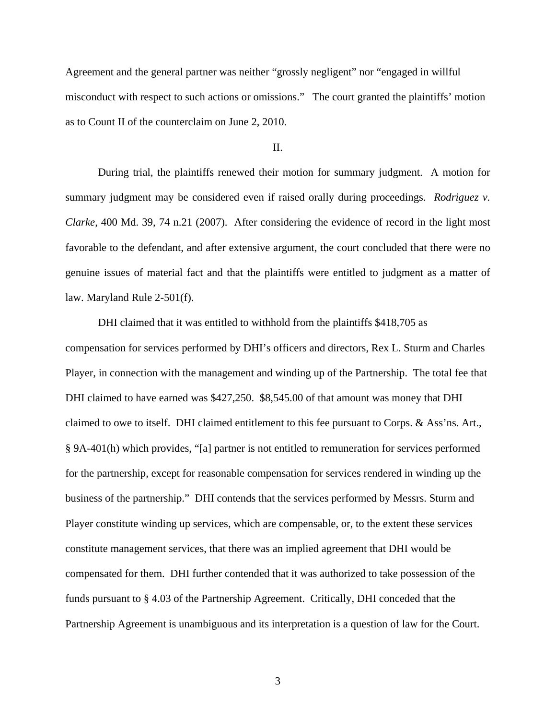Agreement and the general partner was neither "grossly negligent" nor "engaged in willful misconduct with respect to such actions or omissions." The court granted the plaintiffs' motion as to Count II of the counterclaim on June 2, 2010.

## II.

 During trial, the plaintiffs renewed their motion for summary judgment. A motion for summary judgment may be considered even if raised orally during proceedings. *Rodriguez v. Clarke*, 400 Md. 39, 74 n.21 (2007). After considering the evidence of record in the light most favorable to the defendant, and after extensive argument, the court concluded that there were no genuine issues of material fact and that the plaintiffs were entitled to judgment as a matter of law. Maryland Rule 2-501(f).

 DHI claimed that it was entitled to withhold from the plaintiffs \$418,705 as compensation for services performed by DHI's officers and directors, Rex L. Sturm and Charles Player, in connection with the management and winding up of the Partnership. The total fee that DHI claimed to have earned was \$427,250. \$8,545.00 of that amount was money that DHI claimed to owe to itself. DHI claimed entitlement to this fee pursuant to Corps. & Ass'ns. Art., § 9A-401(h) which provides, "[a] partner is not entitled to remuneration for services performed for the partnership, except for reasonable compensation for services rendered in winding up the business of the partnership." DHI contends that the services performed by Messrs. Sturm and Player constitute winding up services, which are compensable, or, to the extent these services constitute management services, that there was an implied agreement that DHI would be compensated for them. DHI further contended that it was authorized to take possession of the funds pursuant to § 4.03 of the Partnership Agreement. Critically, DHI conceded that the Partnership Agreement is unambiguous and its interpretation is a question of law for the Court.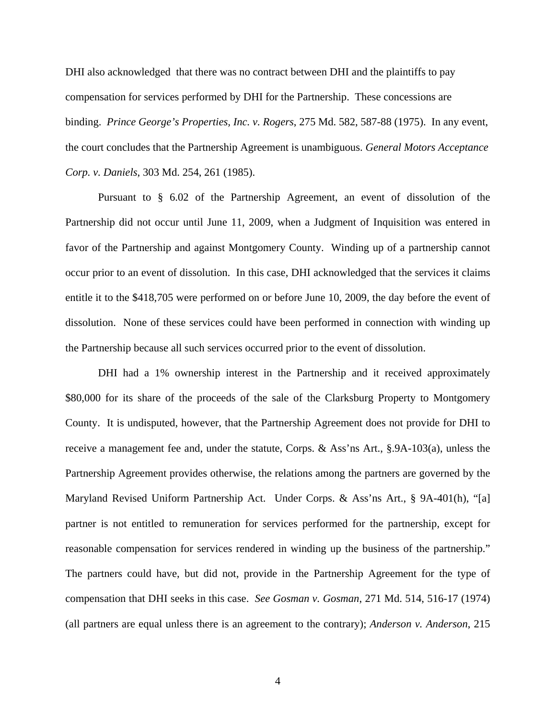DHI also acknowledged that there was no contract between DHI and the plaintiffs to pay compensation for services performed by DHI for the Partnership. These concessions are binding. *Prince George's Properties, Inc. v. Rogers*, 275 Md. 582, 587-88 (1975). In any event, the court concludes that the Partnership Agreement is unambiguous. *General Motors Acceptance Corp. v. Daniels*, 303 Md. 254, 261 (1985).

Pursuant to § 6.02 of the Partnership Agreement, an event of dissolution of the Partnership did not occur until June 11, 2009, when a Judgment of Inquisition was entered in favor of the Partnership and against Montgomery County. Winding up of a partnership cannot occur prior to an event of dissolution. In this case, DHI acknowledged that the services it claims entitle it to the \$418,705 were performed on or before June 10, 2009, the day before the event of dissolution. None of these services could have been performed in connection with winding up the Partnership because all such services occurred prior to the event of dissolution.

DHI had a 1% ownership interest in the Partnership and it received approximately \$80,000 for its share of the proceeds of the sale of the Clarksburg Property to Montgomery County. It is undisputed, however, that the Partnership Agreement does not provide for DHI to receive a management fee and, under the statute, Corps. & Ass'ns Art., §.9A-103(a), unless the Partnership Agreement provides otherwise, the relations among the partners are governed by the Maryland Revised Uniform Partnership Act. Under Corps. & Ass'ns Art., § 9A-401(h), "[a] partner is not entitled to remuneration for services performed for the partnership, except for reasonable compensation for services rendered in winding up the business of the partnership." The partners could have, but did not, provide in the Partnership Agreement for the type of compensation that DHI seeks in this case. *See Gosman v. Gosman*, 271 Md. 514, 516-17 (1974) (all partners are equal unless there is an agreement to the contrary); *Anderson v. Anderson*, 215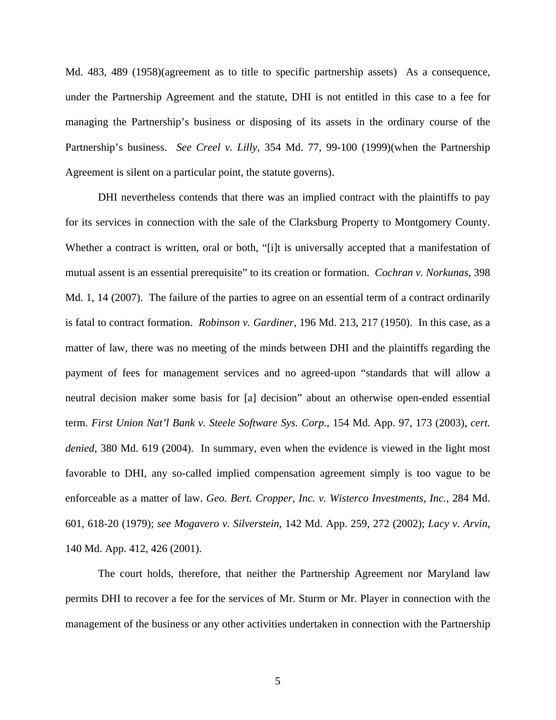Md. 483, 489 (1958)(agreement as to title to specific partnership assets) As a consequence, under the Partnership Agreement and the statute, DHI is not entitled in this case to a fee for managing the Partnership's business or disposing of its assets in the ordinary course of the Partnership's business. *See Creel v. Lilly*, 354 Md. 77, 99-100 (1999)(when the Partnership Agreement is silent on a particular point, the statute governs).

DHI nevertheless contends that there was an implied contract with the plaintiffs to pay for its services in connection with the sale of the Clarksburg Property to Montgomery County. Whether a contract is written, oral or both, "[i]t is universally accepted that a manifestation of mutual assent is an essential prerequisite" to its creation or formation. *Cochran v. Norkunas*, 398 Md. 1, 14 (2007). The failure of the parties to agree on an essential term of a contract ordinarily is fatal to contract formation. *Robinson v. Gardiner*, 196 Md. 213, 217 (1950). In this case, as a matter of law, there was no meeting of the minds between DHI and the plaintiffs regarding the payment of fees for management services and no agreed-upon "standards that will allow a neutral decision maker some basis for [a] decision" about an otherwise open-ended essential term. *First Union Nat'l Bank v. Steele Software Sys. Corp*., 154 Md. App. 97, 173 (2003), *cert. denied*, 380 Md. 619 (2004). In summary, even when the evidence is viewed in the light most favorable to DHI, any so-called implied compensation agreement simply is too vague to be enforceable as a matter of law. *Geo. Bert. Cropper, Inc. v. Wisterco Investments, Inc.*, 284 Md. 601, 618-20 (1979); *see Mogavero v. Silverstein*, 142 Md. App. 259, 272 (2002); *Lacy v. Arvin*, 140 Md. App. 412, 426 (2001).

 The court holds, therefore, that neither the Partnership Agreement nor Maryland law permits DHI to recover a fee for the services of Mr. Sturm or Mr. Player in connection with the management of the business or any other activities undertaken in connection with the Partnership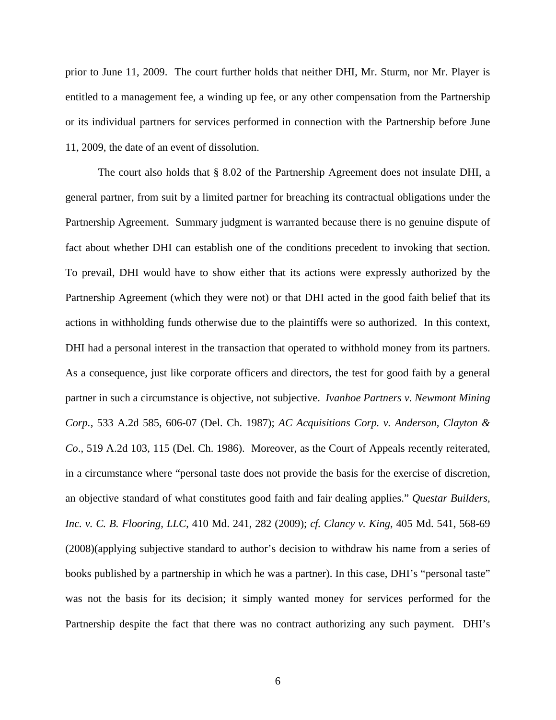prior to June 11, 2009. The court further holds that neither DHI, Mr. Sturm, nor Mr. Player is entitled to a management fee, a winding up fee, or any other compensation from the Partnership or its individual partners for services performed in connection with the Partnership before June 11, 2009, the date of an event of dissolution.

 The court also holds that § 8.02 of the Partnership Agreement does not insulate DHI, a general partner, from suit by a limited partner for breaching its contractual obligations under the Partnership Agreement. Summary judgment is warranted because there is no genuine dispute of fact about whether DHI can establish one of the conditions precedent to invoking that section. To prevail, DHI would have to show either that its actions were expressly authorized by the Partnership Agreement (which they were not) or that DHI acted in the good faith belief that its actions in withholding funds otherwise due to the plaintiffs were so authorized. In this context, DHI had a personal interest in the transaction that operated to withhold money from its partners. As a consequence, just like corporate officers and directors, the test for good faith by a general partner in such a circumstance is objective, not subjective. *Ivanhoe Partners v. Newmont Mining Corp.*, 533 A.2d 585, 606-07 (Del. Ch. 1987); *AC Acquisitions Corp. v. Anderson, Clayton & Co*., 519 A.2d 103, 115 (Del. Ch. 1986). Moreover, as the Court of Appeals recently reiterated, in a circumstance where "personal taste does not provide the basis for the exercise of discretion, an objective standard of what constitutes good faith and fair dealing applies." *Questar Builders, Inc. v. C. B. Flooring, LLC*, 410 Md. 241, 282 (2009); *cf. Clancy v. King*, 405 Md. 541, 568-69 (2008)(applying subjective standard to author's decision to withdraw his name from a series of books published by a partnership in which he was a partner). In this case, DHI's "personal taste" was not the basis for its decision; it simply wanted money for services performed for the Partnership despite the fact that there was no contract authorizing any such payment. DHI's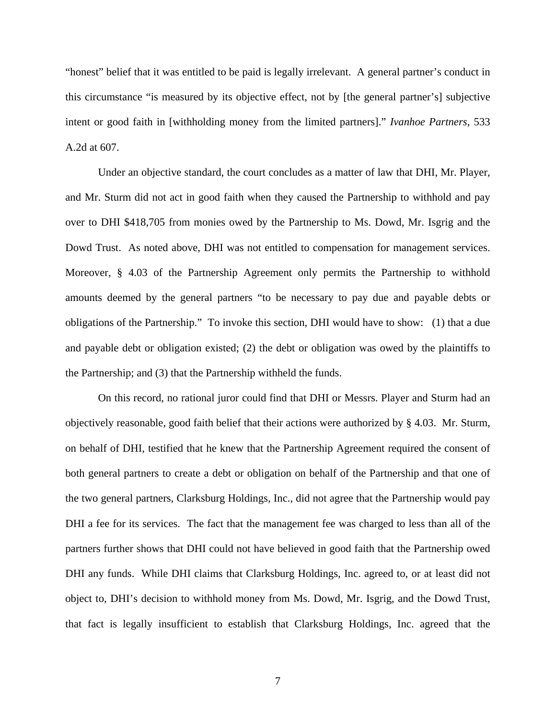"honest" belief that it was entitled to be paid is legally irrelevant. A general partner's conduct in this circumstance "is measured by its objective effect, not by [the general partner's] subjective intent or good faith in [withholding money from the limited partners]." *Ivanhoe Partners*, 533 A.2d at 607.

Under an objective standard, the court concludes as a matter of law that DHI, Mr. Player, and Mr. Sturm did not act in good faith when they caused the Partnership to withhold and pay over to DHI \$418,705 from monies owed by the Partnership to Ms. Dowd, Mr. Isgrig and the Dowd Trust. As noted above, DHI was not entitled to compensation for management services. Moreover, § 4.03 of the Partnership Agreement only permits the Partnership to withhold amounts deemed by the general partners "to be necessary to pay due and payable debts or obligations of the Partnership." To invoke this section, DHI would have to show: (1) that a due and payable debt or obligation existed; (2) the debt or obligation was owed by the plaintiffs to the Partnership; and (3) that the Partnership withheld the funds.

 On this record, no rational juror could find that DHI or Messrs. Player and Sturm had an objectively reasonable, good faith belief that their actions were authorized by § 4.03. Mr. Sturm, on behalf of DHI, testified that he knew that the Partnership Agreement required the consent of both general partners to create a debt or obligation on behalf of the Partnership and that one of the two general partners, Clarksburg Holdings, Inc., did not agree that the Partnership would pay DHI a fee for its services. The fact that the management fee was charged to less than all of the partners further shows that DHI could not have believed in good faith that the Partnership owed DHI any funds. While DHI claims that Clarksburg Holdings, Inc. agreed to, or at least did not object to, DHI's decision to withhold money from Ms. Dowd, Mr. Isgrig, and the Dowd Trust, that fact is legally insufficient to establish that Clarksburg Holdings, Inc. agreed that the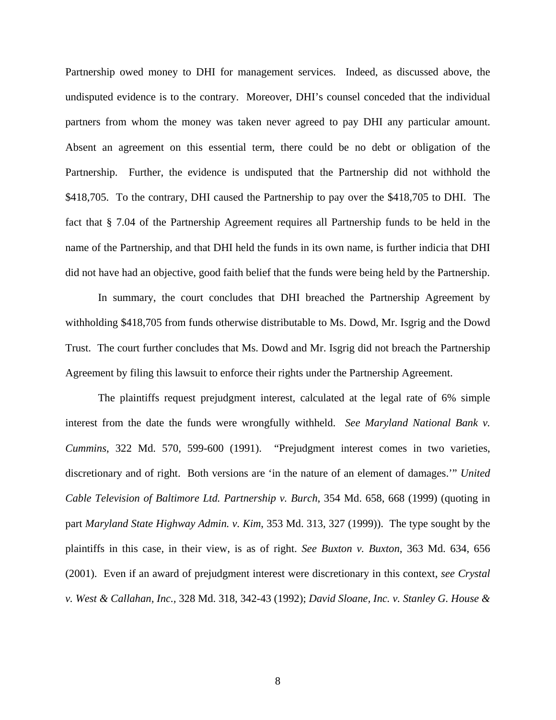Partnership owed money to DHI for management services. Indeed, as discussed above, the undisputed evidence is to the contrary. Moreover, DHI's counsel conceded that the individual partners from whom the money was taken never agreed to pay DHI any particular amount. Absent an agreement on this essential term, there could be no debt or obligation of the Partnership. Further, the evidence is undisputed that the Partnership did not withhold the \$418,705. To the contrary, DHI caused the Partnership to pay over the \$418,705 to DHI. The fact that § 7.04 of the Partnership Agreement requires all Partnership funds to be held in the name of the Partnership, and that DHI held the funds in its own name, is further indicia that DHI did not have had an objective, good faith belief that the funds were being held by the Partnership.

 In summary, the court concludes that DHI breached the Partnership Agreement by withholding \$418,705 from funds otherwise distributable to Ms. Dowd, Mr. Isgrig and the Dowd Trust. The court further concludes that Ms. Dowd and Mr. Isgrig did not breach the Partnership Agreement by filing this lawsuit to enforce their rights under the Partnership Agreement.

The plaintiffs request prejudgment interest, calculated at the legal rate of 6% simple interest from the date the funds were wrongfully withheld. *See Maryland National Bank v. Cummins*, 322 Md. 570, 599-600 (1991). "Prejudgment interest comes in two varieties, discretionary and of right. Both versions are 'in the nature of an element of damages.'" *United Cable Television of Baltimore Ltd. Partnership v. Burch*, 354 Md. 658, 668 (1999) (quoting in part *Maryland State Highway Admin. v. Kim*, 353 Md. 313, 327 (1999)). The type sought by the plaintiffs in this case, in their view, is as of right. *See Buxton v. Buxton*, 363 Md. 634, 656 (2001). Even if an award of prejudgment interest were discretionary in this context, *see Crystal v. West & Callahan, Inc.,* 328 Md. 318, 342-43 (1992); *David Sloane, Inc. v. Stanley G. House &*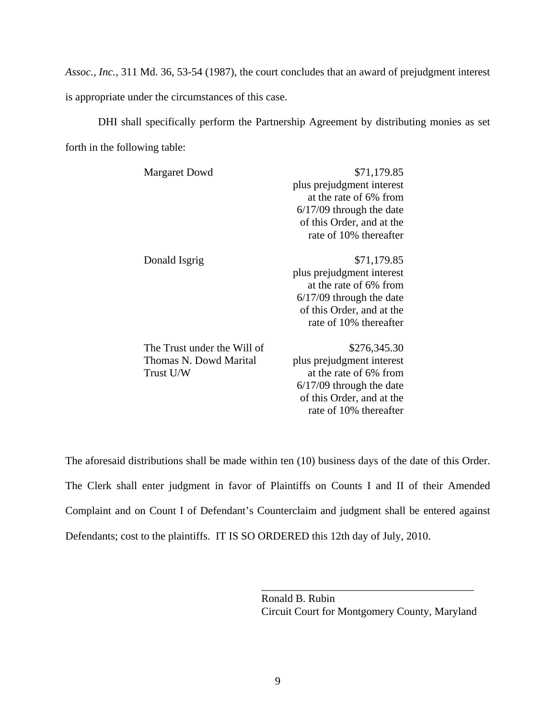*Assoc.*, *Inc.*, 311 Md. 36, 53-54 (1987), the court concludes that an award of prejudgment interest is appropriate under the circumstances of this case.

 DHI shall specifically perform the Partnership Agreement by distributing monies as set forth in the following table:

| <b>Margaret Dowd</b>        | \$71,179.85                |
|-----------------------------|----------------------------|
|                             | plus prejudgment interest  |
|                             | at the rate of 6% from     |
|                             | $6/17/09$ through the date |
|                             | of this Order, and at the  |
|                             | rate of 10% thereafter     |
| Donald Isgrig               | \$71,179.85                |
|                             | plus prejudgment interest  |
|                             | at the rate of 6% from     |
|                             | $6/17/09$ through the date |
|                             | of this Order, and at the  |
|                             | rate of 10% thereafter     |
| The Trust under the Will of | \$276,345.30               |
| Thomas N. Dowd Marital      | plus prejudgment interest  |
| Trust U/W                   | at the rate of 6% from     |
|                             | $6/17/09$ through the date |
|                             | of this Order, and at the  |

The aforesaid distributions shall be made within ten (10) business days of the date of this Order. The Clerk shall enter judgment in favor of Plaintiffs on Counts I and II of their Amended Complaint and on Count I of Defendant's Counterclaim and judgment shall be entered against Defendants; cost to the plaintiffs. IT IS SO ORDERED this 12th day of July, 2010.

 $\overline{\phantom{a}}$  , which is a set of the set of the set of the set of the set of the set of the set of the set of the set of the set of the set of the set of the set of the set of the set of the set of the set of the set of th

 Ronald B. Rubin Circuit Court for Montgomery County, Maryland

rate of 10% thereafter